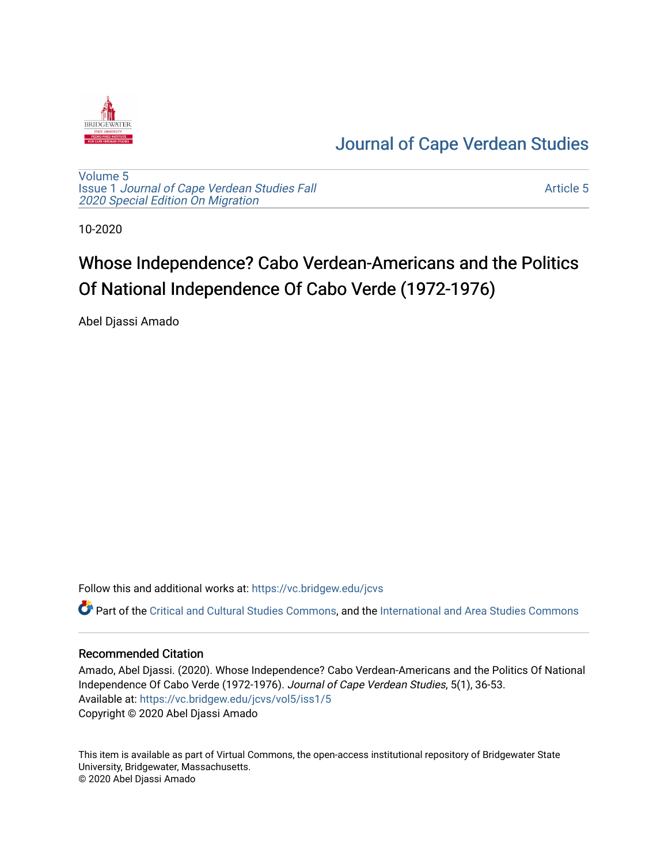

# [Journal of Cape Verdean Studies](https://vc.bridgew.edu/jcvs)

[Volume 5](https://vc.bridgew.edu/jcvs/vol5) Issue 1 [Journal of Cape Verdean Studies Fall](https://vc.bridgew.edu/jcvs/vol5/iss1)  [2020 Special Edition On Migration](https://vc.bridgew.edu/jcvs/vol5/iss1) 

[Article 5](https://vc.bridgew.edu/jcvs/vol5/iss1/5) 

10-2020

# Whose Independence? Cabo Verdean-Americans and the Politics Of National Independence Of Cabo Verde (1972-1976)

Abel Djassi Amado

Follow this and additional works at: [https://vc.bridgew.edu/jcvs](https://vc.bridgew.edu/jcvs?utm_source=vc.bridgew.edu%2Fjcvs%2Fvol5%2Fiss1%2F5&utm_medium=PDF&utm_campaign=PDFCoverPages) 

Part of the [Critical and Cultural Studies Commons](http://network.bepress.com/hgg/discipline/328?utm_source=vc.bridgew.edu%2Fjcvs%2Fvol5%2Fiss1%2F5&utm_medium=PDF&utm_campaign=PDFCoverPages), and the International and Area Studies Commons

## Recommended Citation

Amado, Abel Djassi. (2020). Whose Independence? Cabo Verdean-Americans and the Politics Of National Independence Of Cabo Verde (1972-1976). Journal of Cape Verdean Studies, 5(1), 36-53. Available at: [https://vc.bridgew.edu/jcvs/vol5/iss1/5](https://vc.bridgew.edu/jcvs/vol5/iss1/5?utm_source=vc.bridgew.edu%2Fjcvs%2Fvol5%2Fiss1%2F5&utm_medium=PDF&utm_campaign=PDFCoverPages)  Copyright © 2020 Abel Djassi Amado

This item is available as part of Virtual Commons, the open-access institutional repository of Bridgewater State University, Bridgewater, Massachusetts. © 2020 Abel Djassi Amado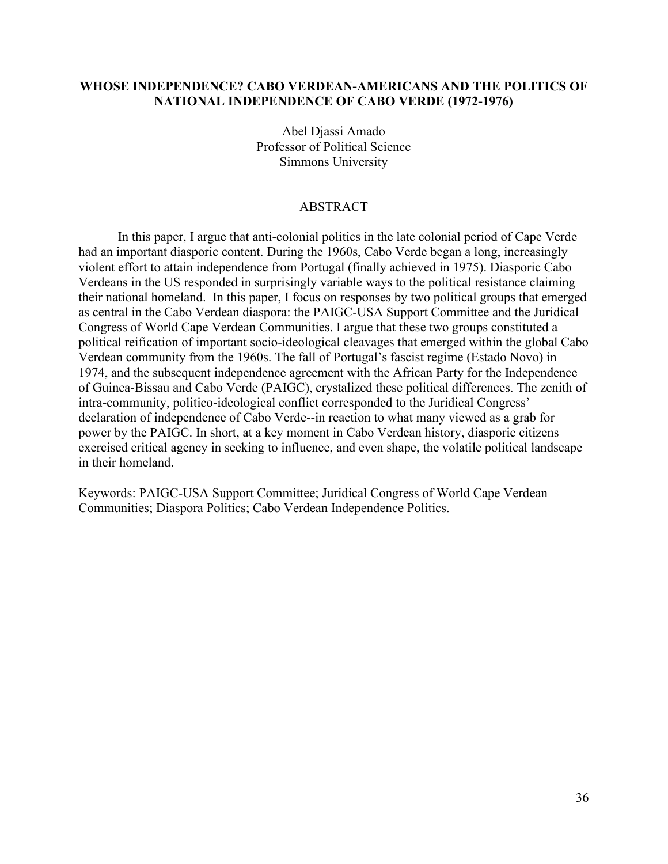# **WHOSE INDEPENDENCE? CABO VERDEAN-AMERICANS AND THE POLITICS OF NATIONAL INDEPENDENCE OF CABO VERDE (1972-1976)**

Abel Djassi Amado Professor of Political Science Simmons University

# ABSTRACT

In this paper, I argue that anti-colonial politics in the late colonial period of Cape Verde had an important diasporic content. During the 1960s, Cabo Verde began a long, increasingly violent effort to attain independence from Portugal (finally achieved in 1975). Diasporic Cabo Verdeans in the US responded in surprisingly variable ways to the political resistance claiming their national homeland. In this paper, I focus on responses by two political groups that emerged as central in the Cabo Verdean diaspora: the PAIGC-USA Support Committee and the Juridical Congress of World Cape Verdean Communities. I argue that these two groups constituted a political reification of important socio-ideological cleavages that emerged within the global Cabo Verdean community from the 1960s. The fall of Portugal's fascist regime (Estado Novo) in 1974, and the subsequent independence agreement with the African Party for the Independence of Guinea-Bissau and Cabo Verde (PAIGC), crystalized these political differences. The zenith of intra-community, politico-ideological conflict corresponded to the Juridical Congress' declaration of independence of Cabo Verde--in reaction to what many viewed as a grab for power by the PAIGC. In short, at a key moment in Cabo Verdean history, diasporic citizens exercised critical agency in seeking to influence, and even shape, the volatile political landscape in their homeland.

Keywords: PAIGC-USA Support Committee; Juridical Congress of World Cape Verdean Communities; Diaspora Politics; Cabo Verdean Independence Politics.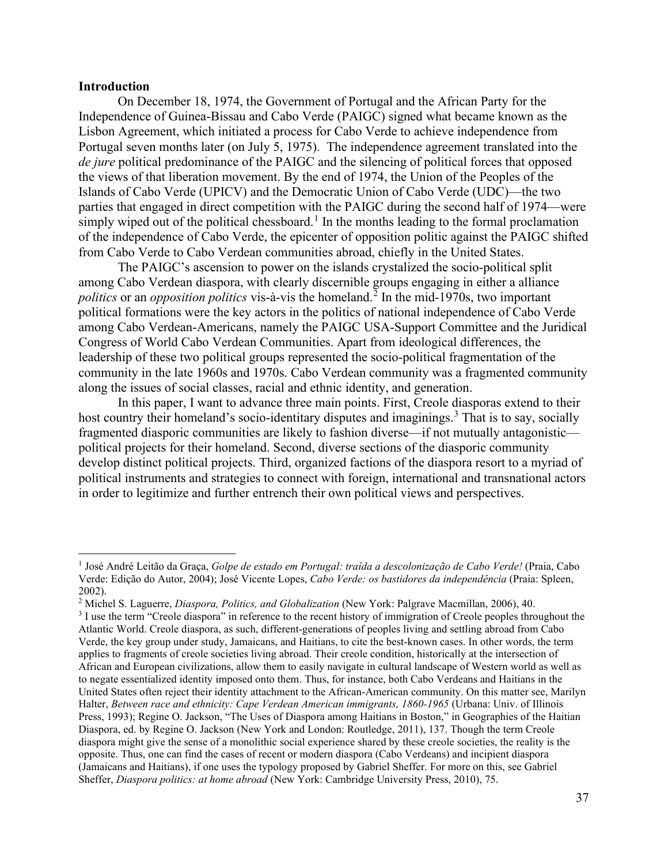#### **Introduction**

On December 18, 1974, the Government of Portugal and the African Party for the Independence of Guinea-Bissau and Cabo Verde (PAIGC) signed what became known as the Lisbon Agreement, which initiated a process for Cabo Verde to achieve independence from Portugal seven months later (on July 5, 1975). The independence agreement translated into the *de jure* political predominance of the PAIGC and the silencing of political forces that opposed the views of that liberation movement. By the end of 1974, the Union of the Peoples of the Islands of Cabo Verde (UPICV) and the Democratic Union of Cabo Verde (UDC)—the two parties that engaged in direct competition with the PAIGC during the second half of 1974—were simply wiped out of the political chessboard.<sup>[1](#page-2-0)</sup> In the months leading to the formal proclamation of the independence of Cabo Verde, the epicenter of opposition politic against the PAIGC shifted from Cabo Verde to Cabo Verdean communities abroad, chiefly in the United States.

The PAIGC's ascension to power on the islands crystalized the socio-political split among Cabo Verdean diaspora, with clearly discernible groups engaging in either a alliance *politics* or an *opposition politics* vis-à-vis the homeland.<sup>[2](#page-2-1)</sup> In the mid-1970s, two important political formations were the key actors in the politics of national independence of Cabo Verde among Cabo Verdean-Americans, namely the PAIGC USA-Support Committee and the Juridical Congress of World Cabo Verdean Communities. Apart from ideological differences, the leadership of these two political groups represented the socio-political fragmentation of the community in the late 1960s and 1970s. Cabo Verdean community was a fragmented community along the issues of social classes, racial and ethnic identity, and generation.

In this paper, I want to advance three main points. First, Creole diasporas extend to their host country their homeland's socio-identitary disputes and imaginings.<sup>[3](#page-2-2)</sup> That is to say, socially fragmented diasporic communities are likely to fashion diverse—if not mutually antagonistic political projects for their homeland. Second, diverse sections of the diasporic community develop distinct political projects. Third, organized factions of the diaspora resort to a myriad of political instruments and strategies to connect with foreign, international and transnational actors in order to legitimize and further entrench their own political views and perspectives.

<span id="page-2-0"></span><sup>1</sup> José André Leitão da Graça, *Golpe de estado em Portugal: traída a descolonização de Cabo Verde!* (Praia, Cabo Verde: Edição do Autor, 2004); José Vicente Lopes, *Cabo Verde: os bastidores da independência* (Praia: Spleen, 2002).<br><sup>2</sup> Michel S. Laguerre, *Diaspora, Politics, and Globalization* (New York: Palgrave Macmillan, 2006), 40.

<span id="page-2-1"></span>

<span id="page-2-2"></span><sup>&</sup>lt;sup>3</sup> I use the term "Creole diaspora" in reference to the recent history of immigration of Creole peoples throughout the Atlantic World. Creole diaspora, as such, different-generations of peoples living and settling abroad from Cabo Verde, the key group under study, Jamaicans, and Haitians, to cite the best-known cases. In other words, the term applies to fragments of creole societies living abroad. Their creole condition, historically at the intersection of African and European civilizations, allow them to easily navigate in cultural landscape of Western world as well as to negate essentialized identity imposed onto them. Thus, for instance, both Cabo Verdeans and Haitians in the United States often reject their identity attachment to the African-American community. On this matter see, Marilyn Halter, *Between race and ethnicity: Cape Verdean American immigrants, 1860-1965* (Urbana: Univ. of Illinois Press, 1993); Regine O. Jackson, "The Uses of Diaspora among Haitians in Boston," in Geographies of the Haitian Diaspora, ed. by Regine O. Jackson (New York and London: Routledge, 2011), 137. Though the term Creole diaspora might give the sense of a monolithic social experience shared by these creole societies, the reality is the opposite. Thus, one can find the cases of recent or modern diaspora (Cabo Verdeans) and incipient diaspora (Jamaicans and Haitians), if one uses the typology proposed by Gabriel Sheffer. For more on this, see Gabriel Sheffer, *Diaspora politics: at home abroad* (New York: Cambridge University Press, 2010), 75.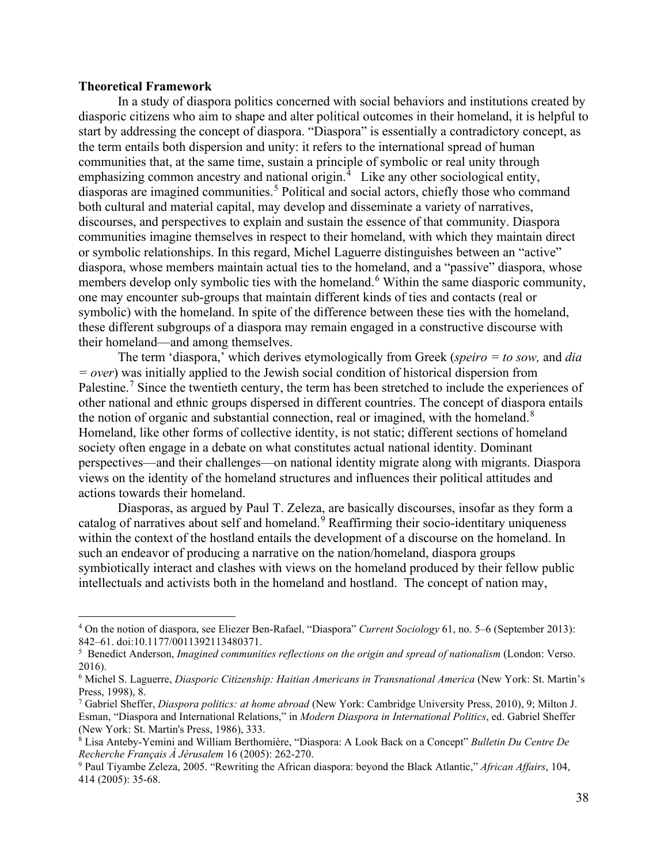#### **Theoretical Framework**

In a study of diaspora politics concerned with social behaviors and institutions created by diasporic citizens who aim to shape and alter political outcomes in their homeland, it is helpful to start by addressing the concept of diaspora. "Diaspora" is essentially a contradictory concept, as the term entails both dispersion and unity: it refers to the international spread of human communities that, at the same time, sustain a principle of symbolic or real unity through emphasizing common ancestry and national origin.<sup>[4](#page-3-0)</sup> Like any other sociological entity, diasporas are imagined communities.<sup>[5](#page-3-1)</sup> Political and social actors, chiefly those who command both cultural and material capital, may develop and disseminate a variety of narratives, discourses, and perspectives to explain and sustain the essence of that community. Diaspora communities imagine themselves in respect to their homeland, with which they maintain direct or symbolic relationships. In this regard, Michel Laguerre distinguishes between an "active" diaspora, whose members maintain actual ties to the homeland, and a "passive" diaspora, whose members develop only symbolic ties with the homeland.<sup>[6](#page-3-2)</sup> Within the same diasporic community, one may encounter sub-groups that maintain different kinds of ties and contacts (real or symbolic) with the homeland. In spite of the difference between these ties with the homeland, these different subgroups of a diaspora may remain engaged in a constructive discourse with their homeland—and among themselves.

The term 'diaspora,' which derives etymologically from Greek (*speiro = to sow,* and *dia = over*) was initially applied to the Jewish social condition of historical dispersion from Palestine.<sup>[7](#page-3-3)</sup> Since the twentieth century, the term has been stretched to include the experiences of other national and ethnic groups dispersed in different countries. The concept of diaspora entails the notion of organic and substantial connection, real or imagined, with the homeland.<sup>[8](#page-3-4)</sup> Homeland, like other forms of collective identity, is not static; different sections of homeland society often engage in a debate on what constitutes actual national identity. Dominant perspectives—and their challenges—on national identity migrate along with migrants. Diaspora views on the identity of the homeland structures and influences their political attitudes and actions towards their homeland.

Diasporas, as argued by Paul T. Zeleza, are basically discourses, insofar as they form a catalog of narratives about self and homeland.<sup>[9](#page-3-5)</sup> Reaffirming their socio-identitary uniqueness within the context of the hostland entails the development of a discourse on the homeland. In such an endeavor of producing a narrative on the nation/homeland, diaspora groups symbiotically interact and clashes with views on the homeland produced by their fellow public intellectuals and activists both in the homeland and hostland. The concept of nation may,

<span id="page-3-0"></span><sup>4</sup> On the notion of diaspora, see Eliezer Ben-Rafael, "Diaspora" *Current Sociology* 61, no. 5–6 (September 2013): 842–61. doi:10.1177/0011392113480371.

<span id="page-3-1"></span><sup>5</sup> Benedict Anderson, *Imagined communities reflections on the origin and spread of nationalism* (London: Verso. 2016).

<span id="page-3-2"></span><sup>6</sup> Michel S. Laguerre, *Diasporic Citizenship: Haitian Americans in Transnational America* (New York: St. Martin's Press, 1998), 8.

<span id="page-3-3"></span><sup>7</sup> Gabriel Sheffer, *Diaspora politics: at home abroad* (New York: Cambridge University Press, 2010), 9; Milton J. Esman, "Diaspora and International Relations," in *Modern Diaspora in International Politics*, ed. Gabriel Sheffer (New York: St. Martin's Press, 1986), 333.

<span id="page-3-4"></span><sup>8</sup> Lisa Anteby-Yemini and William Berthomière, "Diaspora: A Look Back on a Concept" *Bulletin Du Centre De Recherche Français À Jérusalem* 16 (2005): 262-270.

<span id="page-3-5"></span><sup>9</sup> Paul Tiyambe Zeleza, 2005. "Rewriting the African diaspora: beyond the Black Atlantic," *African Affairs*, 104, 414 (2005): 35-68.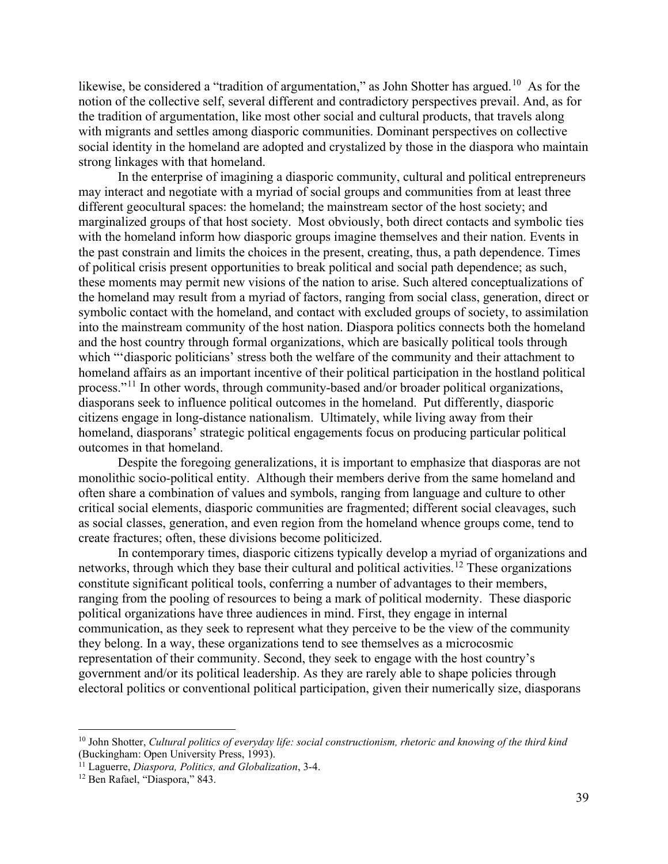likewise, be considered a "tradition of argumentation," as John Shotter has argued.<sup>10</sup> As for the notion of the collective self, several different and contradictory perspectives prevail. And, as for the tradition of argumentation, like most other social and cultural products, that travels along with migrants and settles among diasporic communities. Dominant perspectives on collective social identity in the homeland are adopted and crystalized by those in the diaspora who maintain strong linkages with that homeland.

In the enterprise of imagining a diasporic community, cultural and political entrepreneurs may interact and negotiate with a myriad of social groups and communities from at least three different geocultural spaces: the homeland; the mainstream sector of the host society; and marginalized groups of that host society. Most obviously, both direct contacts and symbolic ties with the homeland inform how diasporic groups imagine themselves and their nation. Events in the past constrain and limits the choices in the present, creating, thus, a path dependence. Times of political crisis present opportunities to break political and social path dependence; as such, these moments may permit new visions of the nation to arise. Such altered conceptualizations of the homeland may result from a myriad of factors, ranging from social class, generation, direct or symbolic contact with the homeland, and contact with excluded groups of society, to assimilation into the mainstream community of the host nation. Diaspora politics connects both the homeland and the host country through formal organizations, which are basically political tools through which "'diasporic politicians' stress both the welfare of the community and their attachment to homeland affairs as an important incentive of their political participation in the hostland political process."[11](#page-4-1) In other words, through community-based and/or broader political organizations, diasporans seek to influence political outcomes in the homeland. Put differently, diasporic citizens engage in long-distance nationalism. Ultimately, while living away from their homeland, diasporans' strategic political engagements focus on producing particular political outcomes in that homeland.

Despite the foregoing generalizations, it is important to emphasize that diasporas are not monolithic socio-political entity. Although their members derive from the same homeland and often share a combination of values and symbols, ranging from language and culture to other critical social elements, diasporic communities are fragmented; different social cleavages, such as social classes, generation, and even region from the homeland whence groups come, tend to create fractures; often, these divisions become politicized.

In contemporary times, diasporic citizens typically develop a myriad of organizations and networks, through which they base their cultural and political activities.<sup>[12](#page-4-2)</sup> These organizations constitute significant political tools, conferring a number of advantages to their members, ranging from the pooling of resources to being a mark of political modernity. These diasporic political organizations have three audiences in mind. First, they engage in internal communication, as they seek to represent what they perceive to be the view of the community they belong. In a way, these organizations tend to see themselves as a microcosmic representation of their community. Second, they seek to engage with the host country's government and/or its political leadership. As they are rarely able to shape policies through electoral politics or conventional political participation, given their numerically size, diasporans

<span id="page-4-0"></span><sup>10</sup> John Shotter, *Cultural politics of everyday life: social constructionism, rhetoric and knowing of the third kind*  (Buckingham: Open University Press, 1993).

<span id="page-4-1"></span><sup>&</sup>lt;sup>11</sup> Laguerre, *Diaspora, Politics, and Globalization*, 3-4.<br><sup>12</sup> Ben Rafael, "Diaspora," 843.

<span id="page-4-2"></span>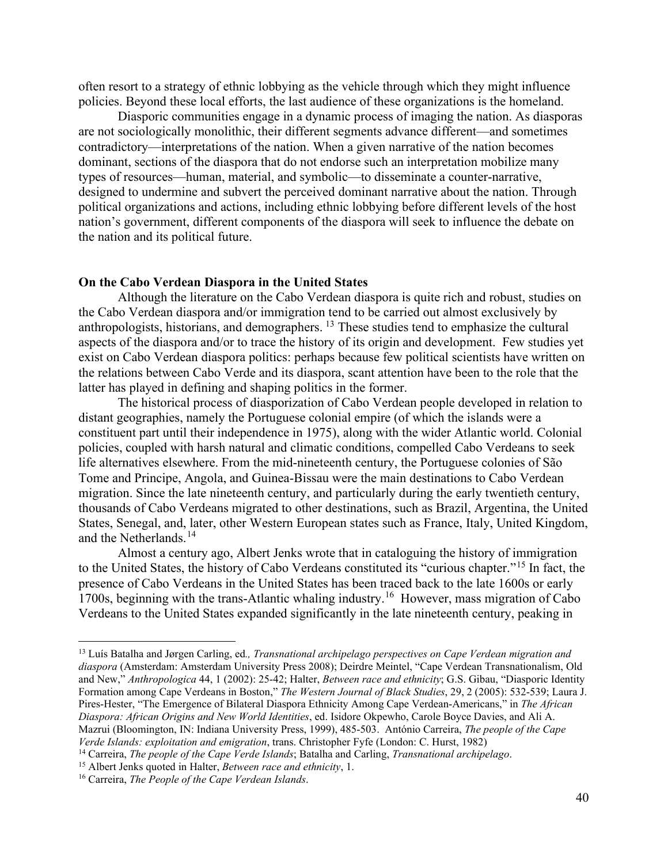often resort to a strategy of ethnic lobbying as the vehicle through which they might influence policies. Beyond these local efforts, the last audience of these organizations is the homeland.

Diasporic communities engage in a dynamic process of imaging the nation. As diasporas are not sociologically monolithic, their different segments advance different—and sometimes contradictory—interpretations of the nation. When a given narrative of the nation becomes dominant, sections of the diaspora that do not endorse such an interpretation mobilize many types of resources—human, material, and symbolic—to disseminate a counter-narrative, designed to undermine and subvert the perceived dominant narrative about the nation. Through political organizations and actions, including ethnic lobbying before different levels of the host nation's government, different components of the diaspora will seek to influence the debate on the nation and its political future.

### **On the Cabo Verdean Diaspora in the United States**

Although the literature on the Cabo Verdean diaspora is quite rich and robust, studies on the Cabo Verdean diaspora and/or immigration tend to be carried out almost exclusively by anthropologists, historians, and demographers. [13](#page-5-0) These studies tend to emphasize the cultural aspects of the diaspora and/or to trace the history of its origin and development. Few studies yet exist on Cabo Verdean diaspora politics: perhaps because few political scientists have written on the relations between Cabo Verde and its diaspora, scant attention have been to the role that the latter has played in defining and shaping politics in the former.

The historical process of diasporization of Cabo Verdean people developed in relation to distant geographies, namely the Portuguese colonial empire (of which the islands were a constituent part until their independence in 1975), along with the wider Atlantic world. Colonial policies, coupled with harsh natural and climatic conditions, compelled Cabo Verdeans to seek life alternatives elsewhere. From the mid-nineteenth century, the Portuguese colonies of São Tome and Principe, Angola, and Guinea-Bissau were the main destinations to Cabo Verdean migration. Since the late nineteenth century, and particularly during the early twentieth century, thousands of Cabo Verdeans migrated to other destinations, such as Brazil, Argentina, the United States, Senegal, and, later, other Western European states such as France, Italy, United Kingdom, and the Netherlands.<sup>[14](#page-5-1)</sup>

Almost a century ago, Albert Jenks wrote that in cataloguing the history of immigration to the United States, the history of Cabo Verdeans constituted its "curious chapter."[15](#page-5-2) In fact, the presence of Cabo Verdeans in the United States has been traced back to the late 1600s or early 1700s, beginning with the trans-Atlantic whaling industry.[16](#page-5-3) However, mass migration of Cabo Verdeans to the United States expanded significantly in the late nineteenth century, peaking in

<span id="page-5-0"></span><sup>13</sup> Luís Batalha and Jørgen Carling, ed*., Transnational archipelago perspectives on Cape Verdean migration and diaspora* (Amsterdam: Amsterdam University Press 2008); Deirdre Meintel, "Cape Verdean Transnationalism, Old and New," *Anthropologica* 44, 1 (2002): 25-42; Halter, *Between race and ethnicity*; G.S. Gibau, "Diasporic Identity Formation among Cape Verdeans in Boston," *The Western Journal of Black Studies*, 29, 2 (2005): 532-539; Laura J. Pires-Hester, "The Emergence of Bilateral Diaspora Ethnicity Among Cape Verdean-Americans," in *The African Diaspora: African Origins and New World Identities*, ed. Isidore Okpewho, Carole Boyce Davies, and Ali A. Mazrui (Bloomington, IN: Indiana University Press, 1999), 485-503. António Carreira, *The people of the Cape Verde Islands: exploitation and emigration*, trans. Christopher Fyfe (London: C. Hurst, 1982)

<span id="page-5-1"></span><sup>14</sup> Carreira, *The people of the Cape Verde Islands*; Batalha and Carling, *Transnational archipelago*.

<span id="page-5-3"></span><span id="page-5-2"></span><sup>15</sup> Albert Jenks quoted in Halter, *Between race and ethnicity*, 1. 16 Carreira, *The People of the Cape Verdean Islands*.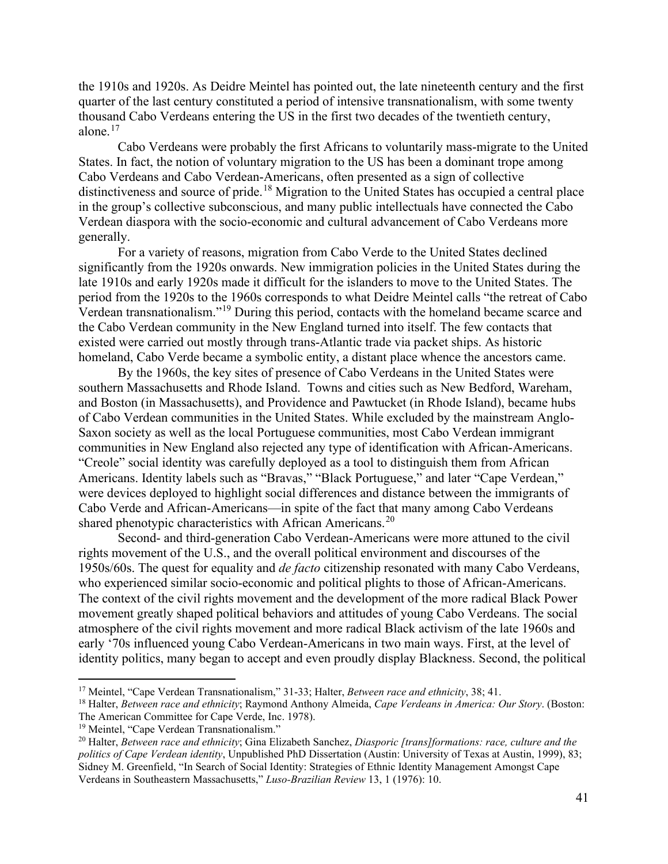the 1910s and 1920s. As Deidre Meintel has pointed out, the late nineteenth century and the first quarter of the last century constituted a period of intensive transnationalism, with some twenty thousand Cabo Verdeans entering the US in the first two decades of the twentieth century, alone. [17](#page-6-0) 

Cabo Verdeans were probably the first Africans to voluntarily mass-migrate to the United States. In fact, the notion of voluntary migration to the US has been a dominant trope among Cabo Verdeans and Cabo Verdean-Americans, often presented as a sign of collective distinctiveness and source of pride.<sup>[18](#page-6-1)</sup> Migration to the United States has occupied a central place in the group's collective subconscious, and many public intellectuals have connected the Cabo Verdean diaspora with the socio-economic and cultural advancement of Cabo Verdeans more generally.

For a variety of reasons, migration from Cabo Verde to the United States declined significantly from the 1920s onwards. New immigration policies in the United States during the late 1910s and early 1920s made it difficult for the islanders to move to the United States. The period from the 1920s to the 1960s corresponds to what Deidre Meintel calls "the retreat of Cabo Verdean transnationalism."[19](#page-6-2) During this period, contacts with the homeland became scarce and the Cabo Verdean community in the New England turned into itself. The few contacts that existed were carried out mostly through trans-Atlantic trade via packet ships. As historic homeland, Cabo Verde became a symbolic entity, a distant place whence the ancestors came.

By the 1960s, the key sites of presence of Cabo Verdeans in the United States were southern Massachusetts and Rhode Island. Towns and cities such as New Bedford, Wareham, and Boston (in Massachusetts), and Providence and Pawtucket (in Rhode Island), became hubs of Cabo Verdean communities in the United States. While excluded by the mainstream Anglo-Saxon society as well as the local Portuguese communities, most Cabo Verdean immigrant communities in New England also rejected any type of identification with African-Americans. "Creole" social identity was carefully deployed as a tool to distinguish them from African Americans. Identity labels such as "Bravas," "Black Portuguese," and later "Cape Verdean," were devices deployed to highlight social differences and distance between the immigrants of Cabo Verde and African-Americans—in spite of the fact that many among Cabo Verdeans shared phenotypic characteristics with African Americans.<sup>[20](#page-6-3)</sup>

Second- and third-generation Cabo Verdean-Americans were more attuned to the civil rights movement of the U.S., and the overall political environment and discourses of the 1950s/60s. The quest for equality and *de facto* citizenship resonated with many Cabo Verdeans, who experienced similar socio-economic and political plights to those of African-Americans. The context of the civil rights movement and the development of the more radical Black Power movement greatly shaped political behaviors and attitudes of young Cabo Verdeans. The social atmosphere of the civil rights movement and more radical Black activism of the late 1960s and early '70s influenced young Cabo Verdean-Americans in two main ways. First, at the level of identity politics, many began to accept and even proudly display Blackness. Second, the political

<span id="page-6-0"></span><sup>17</sup> Meintel, "Cape Verdean Transnationalism," 31-33; Halter, *Between race and ethnicity*, 38; 41.

<span id="page-6-1"></span><sup>18</sup> Halter, *Between race and ethnicity*; Raymond Anthony Almeida, *Cape Verdeans in America: Our Story*. (Boston: The American Committee for Cape Verde, Inc. 1978).

<span id="page-6-3"></span><span id="page-6-2"></span><sup>&</sup>lt;sup>19</sup> Meintel, "Cape Verdean Transnationalism."<br><sup>20</sup> Halter, *Between race and ethnicity*; Gina Elizabeth Sanchez, *Diasporic [trans]formations: race, culture and the politics of Cape Verdean identity*, Unpublished PhD Dissertation (Austin: University of Texas at Austin, 1999), 83; Sidney M. Greenfield, "In Search of Social Identity: Strategies of Ethnic Identity Management Amongst Cape Verdeans in Southeastern Massachusetts," *Luso-Brazilian Review* 13, 1 (1976): 10.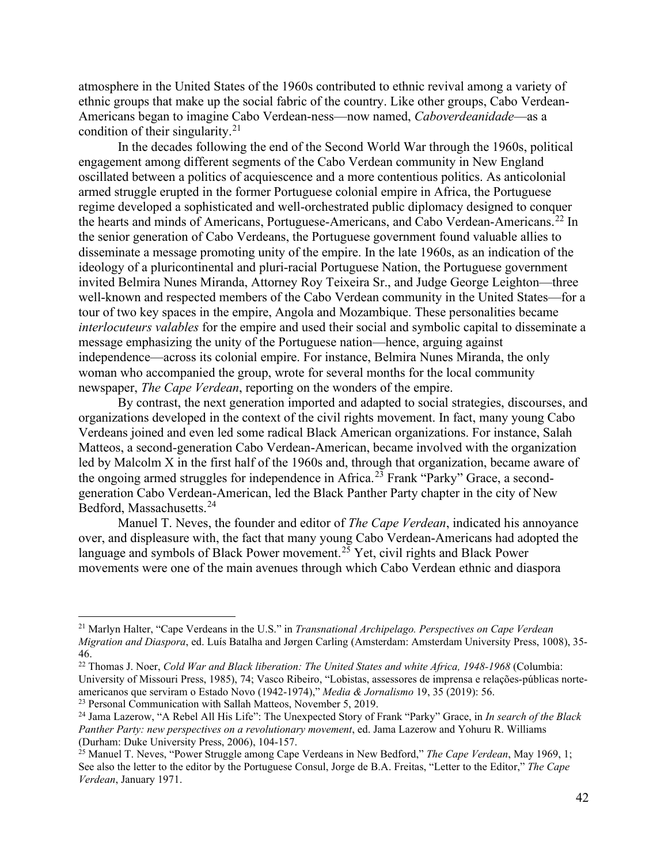atmosphere in the United States of the 1960s contributed to ethnic revival among a variety of ethnic groups that make up the social fabric of the country. Like other groups, Cabo Verdean-Americans began to imagine Cabo Verdean-ness—now named, *Caboverdeanidade*—as a condition of their singularity.<sup>[21](#page-7-0)</sup>

In the decades following the end of the Second World War through the 1960s, political engagement among different segments of the Cabo Verdean community in New England oscillated between a politics of acquiescence and a more contentious politics. As anticolonial armed struggle erupted in the former Portuguese colonial empire in Africa, the Portuguese regime developed a sophisticated and well-orchestrated public diplomacy designed to conquer the hearts and minds of Americans, Portuguese-Americans, and Cabo Verdean-Americans.<sup>[22](#page-7-1)</sup> In the senior generation of Cabo Verdeans, the Portuguese government found valuable allies to disseminate a message promoting unity of the empire. In the late 1960s, as an indication of the ideology of a pluricontinental and pluri-racial Portuguese Nation, the Portuguese government invited Belmira Nunes Miranda, Attorney Roy Teixeira Sr., and Judge George Leighton—three well-known and respected members of the Cabo Verdean community in the United States—for a tour of two key spaces in the empire, Angola and Mozambique. These personalities became *interlocuteurs valables* for the empire and used their social and symbolic capital to disseminate a message emphasizing the unity of the Portuguese nation—hence, arguing against independence—across its colonial empire. For instance, Belmira Nunes Miranda, the only woman who accompanied the group, wrote for several months for the local community newspaper, *The Cape Verdean*, reporting on the wonders of the empire.

By contrast, the next generation imported and adapted to social strategies, discourses, and organizations developed in the context of the civil rights movement. In fact, many young Cabo Verdeans joined and even led some radical Black American organizations. For instance, Salah Matteos, a second-generation Cabo Verdean-American, became involved with the organization led by Malcolm X in the first half of the 1960s and, through that organization, became aware of the ongoing armed struggles for independence in Africa.<sup>[23](#page-7-2)</sup> Frank "Parky" Grace, a secondgeneration Cabo Verdean-American, led the Black Panther Party chapter in the city of New Bedford, Massachusetts.[24](#page-7-3)

Manuel T. Neves, the founder and editor of *The Cape Verdean*, indicated his annoyance over, and displeasure with, the fact that many young Cabo Verdean-Americans had adopted the language and symbols of Black Power movement.<sup>[25](#page-7-4)</sup> Yet, civil rights and Black Power movements were one of the main avenues through which Cabo Verdean ethnic and diaspora

<span id="page-7-0"></span><sup>21</sup> Marlyn Halter, "Cape Verdeans in the U.S." in *Transnational Archipelago. Perspectives on Cape Verdean Migration and Diaspora*, ed. Luís Batalha and Jørgen Carling (Amsterdam: Amsterdam University Press, 1008), 35- 46.

<span id="page-7-1"></span><sup>22</sup> Thomas J. Noer, *Cold War and Black liberation: The United States and white Africa, 1948-1968* (Columbia: University of Missouri Press, 1985), 74; Vasco Ribeiro, "Lobistas, assessores de imprensa e relações-públicas norteamericanos que serviram o Estado Novo (1942-1974)," *Media & Jornalismo* 19, 35 (2019): 56. 23 Personal Communication with Sallah Matteos, November 5, 2019.

<span id="page-7-3"></span><span id="page-7-2"></span><sup>24</sup> Jama Lazerow, "A Rebel All His Life": The Unexpected Story of Frank "Parky" Grace, in *In search of the Black* 

*Panther Party: new perspectives on a revolutionary movement*, ed. Jama Lazerow and Yohuru R. Williams (Durham: Duke University Press, 2006), 104-157.

<span id="page-7-4"></span><sup>25</sup> Manuel T. Neves, "Power Struggle among Cape Verdeans in New Bedford," *The Cape Verdean*, May 1969, 1; See also the letter to the editor by the Portuguese Consul, Jorge de B.A. Freitas, "Letter to the Editor," *The Cape Verdean*, January 1971.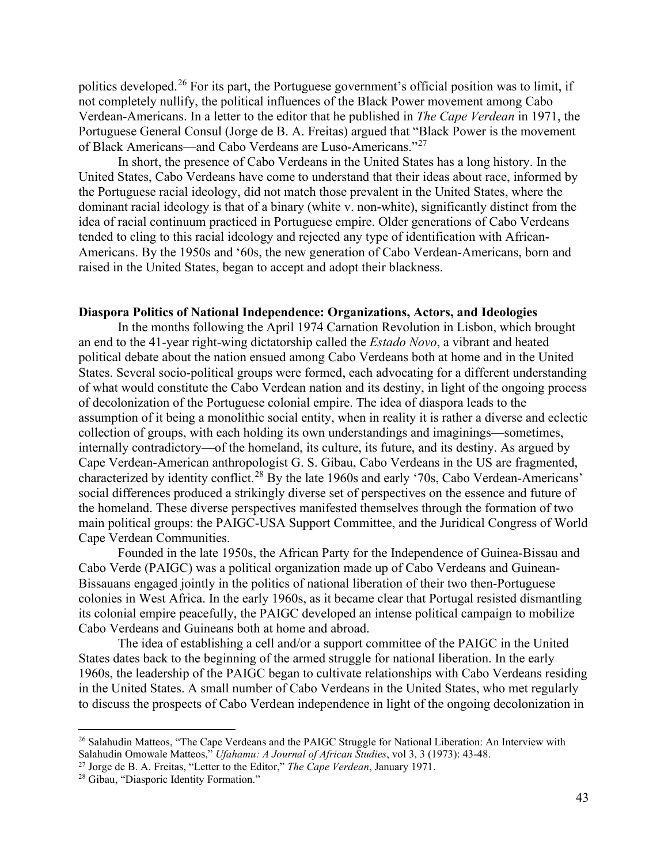politics developed.[26](#page-8-0) For its part, the Portuguese government's official position was to limit, if not completely nullify, the political influences of the Black Power movement among Cabo Verdean-Americans. In a letter to the editor that he published in *The Cape Verdean* in 1971, the Portuguese General Consul (Jorge de B. A. Freitas) argued that "Black Power is the movement of Black Americans—and Cabo Verdeans are Luso-Americans."[27](#page-8-1)

In short, the presence of Cabo Verdeans in the United States has a long history. In the United States, Cabo Verdeans have come to understand that their ideas about race, informed by the Portuguese racial ideology, did not match those prevalent in the United States, where the dominant racial ideology is that of a binary (white v. non-white), significantly distinct from the idea of racial continuum practiced in Portuguese empire. Older generations of Cabo Verdeans tended to cling to this racial ideology and rejected any type of identification with African-Americans. By the 1950s and '60s, the new generation of Cabo Verdean-Americans, born and raised in the United States, began to accept and adopt their blackness.

# **Diaspora Politics of National Independence: Organizations, Actors, and Ideologies**

In the months following the April 1974 Carnation Revolution in Lisbon, which brought an end to the 41-year right-wing dictatorship called the *Estado Novo*, a vibrant and heated political debate about the nation ensued among Cabo Verdeans both at home and in the United States. Several socio-political groups were formed, each advocating for a different understanding of what would constitute the Cabo Verdean nation and its destiny, in light of the ongoing process of decolonization of the Portuguese colonial empire. The idea of diaspora leads to the assumption of it being a monolithic social entity, when in reality it is rather a diverse and eclectic collection of groups, with each holding its own understandings and imaginings—sometimes, internally contradictory—of the homeland, its culture, its future, and its destiny. As argued by Cape Verdean-American anthropologist G. S. Gibau, Cabo Verdeans in the US are fragmented, characterized by identity conflict.[28](#page-8-2) By the late 1960s and early '70s, Cabo Verdean-Americans' social differences produced a strikingly diverse set of perspectives on the essence and future of the homeland. These diverse perspectives manifested themselves through the formation of two main political groups: the PAIGC-USA Support Committee, and the Juridical Congress of World Cape Verdean Communities.

Founded in the late 1950s, the African Party for the Independence of Guinea-Bissau and Cabo Verde (PAIGC) was a political organization made up of Cabo Verdeans and Guinean-Bissauans engaged jointly in the politics of national liberation of their two then-Portuguese colonies in West Africa. In the early 1960s, as it became clear that Portugal resisted dismantling its colonial empire peacefully, the PAIGC developed an intense political campaign to mobilize Cabo Verdeans and Guineans both at home and abroad.

The idea of establishing a cell and/or a support committee of the PAIGC in the United States dates back to the beginning of the armed struggle for national liberation. In the early 1960s, the leadership of the PAIGC began to cultivate relationships with Cabo Verdeans residing in the United States. A small number of Cabo Verdeans in the United States, who met regularly to discuss the prospects of Cabo Verdean independence in light of the ongoing decolonization in

<span id="page-8-0"></span><sup>&</sup>lt;sup>26</sup> Salahudin Matteos, "The Cape Verdeans and the PAIGC Struggle for National Liberation: An Interview with Salahudin Omowale Matteos," *Ufahamu: A Journal of African Studies*, vol 3, 3 (1973): 43-48.

<span id="page-8-2"></span><span id="page-8-1"></span><sup>&</sup>lt;sup>27</sup> Jorge de B. A. Freitas, "Letter to the Editor," *The Cape Verdean*, January 1971.<br><sup>28</sup> Gibau, "Diasporic Identity Formation."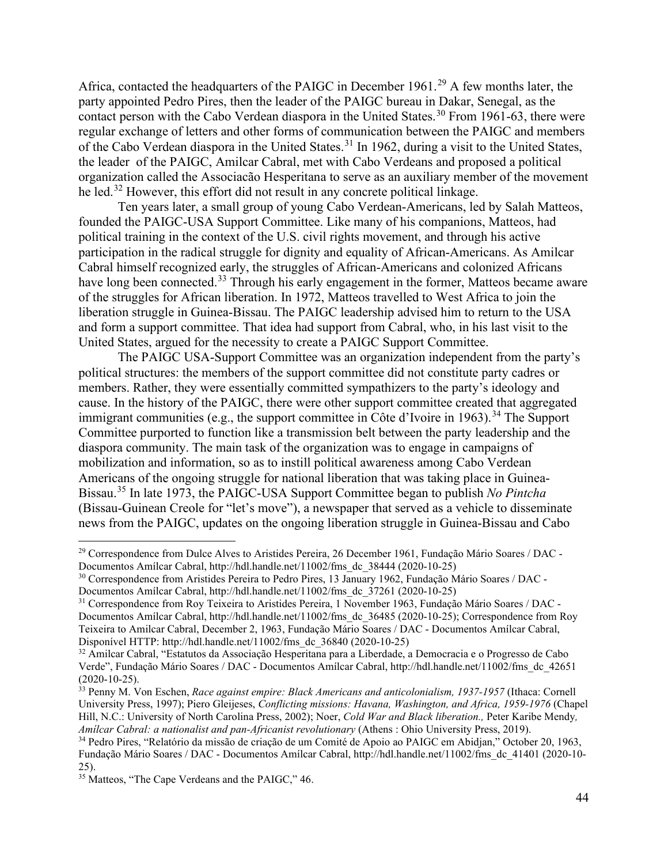Africa, contacted the headquarters of the PAIGC in December 1961.<sup>[29](#page-9-0)</sup> A few months later, the party appointed Pedro Pires, then the leader of the PAIGC bureau in Dakar, Senegal, as the contact person with the Cabo Verdean diaspora in the United States.<sup>[30](#page-9-1)</sup> From 1961-63, there were regular exchange of letters and other forms of communication between the PAIGC and members of the Cabo Verdean diaspora in the United States.<sup>[31](#page-9-2)</sup> In 1962, during a visit to the United States, the leader of the PAIGC, Amilcar Cabral, met with Cabo Verdeans and proposed a political organization called the Associacão Hesperitana to serve as an auxiliary member of the movement he led.<sup>[32](#page-9-3)</sup> However, this effort did not result in any concrete political linkage.

Ten years later, a small group of young Cabo Verdean-Americans, led by Salah Matteos, founded the PAIGC-USA Support Committee. Like many of his companions, Matteos, had political training in the context of the U.S. civil rights movement, and through his active participation in the radical struggle for dignity and equality of African-Americans. As Amilcar Cabral himself recognized early, the struggles of African-Americans and colonized Africans have long been connected.<sup>[33](#page-9-4)</sup> Through his early engagement in the former, Matteos became aware of the struggles for African liberation. In 1972, Matteos travelled to West Africa to join the liberation struggle in Guinea-Bissau. The PAIGC leadership advised him to return to the USA and form a support committee. That idea had support from Cabral, who, in his last visit to the United States, argued for the necessity to create a PAIGC Support Committee.

The PAIGC USA-Support Committee was an organization independent from the party's political structures: the members of the support committee did not constitute party cadres or members. Rather, they were essentially committed sympathizers to the party's ideology and cause. In the history of the PAIGC, there were other support committee created that aggregated immigrant communities (e.g., the support committee in Côte d'Ivoire in 1963).<sup>[34](#page-9-5)</sup> The Support Committee purported to function like a transmission belt between the party leadership and the diaspora community. The main task of the organization was to engage in campaigns of mobilization and information, so as to instill political awareness among Cabo Verdean Americans of the ongoing struggle for national liberation that was taking place in Guinea-Bissau. [35](#page-9-6) In late 1973, the PAIGC-USA Support Committee began to publish *No Pintcha* (Bissau-Guinean Creole for "let's move"), a newspaper that served as a vehicle to disseminate news from the PAIGC, updates on the ongoing liberation struggle in Guinea-Bissau and Cabo

<span id="page-9-0"></span><sup>&</sup>lt;sup>29</sup> Correspondence from Dulce Alves to Aristides Pereira, 26 December 1961, Fundação Mário Soares / DAC -Documentos Amílcar Cabral, http://hdl.handle.net/11002/fms\_dc\_38444 (2020-10-25)

<span id="page-9-1"></span><sup>30</sup> Correspondence from Aristides Pereira to Pedro Pires, 13 January 1962, Fundação Mário Soares / DAC - Documentos Amílcar Cabral, http://hdl.handle.net/11002/fms\_dc\_37261 (2020-10-25) 31 Correspondence from Roy Teixeira to Aristides Pereira, 1 November 1963, Fundação Mário Soares / DAC -

<span id="page-9-2"></span>Documentos Amílcar Cabral, http://hdl.handle.net/11002/fms\_dc\_36485 (2020-10-25); Correspondence from Roy Teixeira to Amilcar Cabral, December 2, 1963, Fundação Mário Soares / DAC - Documentos Amílcar Cabral, Disponível HTTP: http://hdl.handle.net/11002/fms\_dc\_36840 (2020-10-25)

<span id="page-9-3"></span><sup>32</sup> Amilcar Cabral, "Estatutos da Associação Hesperitana para a Liberdade, a Democracia e o Progresso de Cabo Verde", Fundação Mário Soares / DAC - Documentos Amílcar Cabral, http://hdl.handle.net/11002/fms\_dc\_42651

<span id="page-9-4"></span><sup>&</sup>lt;sup>33</sup> Penny M. Von Eschen, *Race against empire: Black Americans and anticolonialism, 1937-1957* (Ithaca: Cornell University Press, 1997); Piero Gleijeses, *Conflicting missions: Havana, Washington, and Africa, 1959-1976* (Chapel Hill, N.C.: University of North Carolina Press, 2002); Noer, *Cold War and Black liberation.,* Peter Karibe Mendy*, Amílcar Cabral: a nationalist and pan-Africanist revolutionary* (Athens : Ohio University Press, 2019).<br><sup>34</sup> Pedro Pires, "Relatório da missão de criação de um Comité de Apoio ao PAIGC em Abidjan," October 20, 1963,

<span id="page-9-5"></span>Fundação Mário Soares / DAC - Documentos Amílcar Cabral, http://hdl.handle.net/11002/fms\_dc\_41401 (2020-10- 25).

<span id="page-9-6"></span><sup>&</sup>lt;sup>35</sup> Matteos, "The Cape Verdeans and the PAIGC," 46.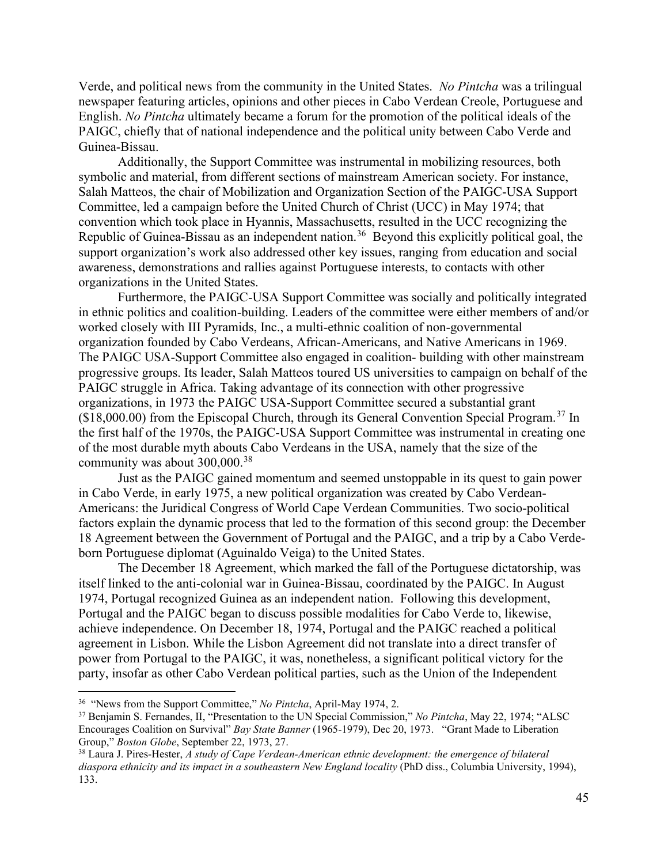Verde, and political news from the community in the United States. *No Pintcha* was a trilingual newspaper featuring articles, opinions and other pieces in Cabo Verdean Creole, Portuguese and English. *No Pintcha* ultimately became a forum for the promotion of the political ideals of the PAIGC, chiefly that of national independence and the political unity between Cabo Verde and Guinea-Bissau.

Additionally, the Support Committee was instrumental in mobilizing resources, both symbolic and material, from different sections of mainstream American society. For instance, Salah Matteos, the chair of Mobilization and Organization Section of the PAIGC-USA Support Committee, led a campaign before the United Church of Christ (UCC) in May 1974; that convention which took place in Hyannis, Massachusetts, resulted in the UCC recognizing the Republic of Guinea-Bissau as an independent nation.<sup>[36](#page-10-0)</sup> Beyond this explicitly political goal, the support organization's work also addressed other key issues, ranging from education and social awareness, demonstrations and rallies against Portuguese interests, to contacts with other organizations in the United States.

Furthermore, the PAIGC-USA Support Committee was socially and politically integrated in ethnic politics and coalition-building. Leaders of the committee were either members of and/or worked closely with III Pyramids, Inc., a multi-ethnic coalition of non-governmental organization founded by Cabo Verdeans, African-Americans, and Native Americans in 1969. The PAIGC USA-Support Committee also engaged in coalition- building with other mainstream progressive groups. Its leader, Salah Matteos toured US universities to campaign on behalf of the PAIGC struggle in Africa. Taking advantage of its connection with other progressive organizations, in 1973 the PAIGC USA-Support Committee secured a substantial grant  $($18,000.00)$  from the Episcopal Church, through its General Convention Special Program.<sup>[37](#page-10-1)</sup> In the first half of the 1970s, the PAIGC-USA Support Committee was instrumental in creating one of the most durable myth abouts Cabo Verdeans in the USA, namely that the size of the community was about  $300,000$ .<sup>[38](#page-10-2)</sup>

Just as the PAIGC gained momentum and seemed unstoppable in its quest to gain power in Cabo Verde, in early 1975, a new political organization was created by Cabo Verdean-Americans: the Juridical Congress of World Cape Verdean Communities. Two socio-political factors explain the dynamic process that led to the formation of this second group: the December 18 Agreement between the Government of Portugal and the PAIGC, and a trip by a Cabo Verdeborn Portuguese diplomat (Aguinaldo Veiga) to the United States.

The December 18 Agreement, which marked the fall of the Portuguese dictatorship, was itself linked to the anti-colonial war in Guinea-Bissau, coordinated by the PAIGC. In August 1974, Portugal recognized Guinea as an independent nation. Following this development, Portugal and the PAIGC began to discuss possible modalities for Cabo Verde to, likewise, achieve independence. On December 18, 1974, Portugal and the PAIGC reached a political agreement in Lisbon. While the Lisbon Agreement did not translate into a direct transfer of power from Portugal to the PAIGC, it was, nonetheless, a significant political victory for the party, insofar as other Cabo Verdean political parties, such as the Union of the Independent

<span id="page-10-1"></span><span id="page-10-0"></span><sup>&</sup>lt;sup>36</sup> "News from the Support Committee," *No Pintcha*, April-May 1974, 2.<br><sup>37</sup> Benjamin S. Fernandes, II, "Presentation to the UN Special Commission," *No Pintcha*, May 22, 1974; "ALSC Encourages Coalition on Survival" *Bay State Banner* (1965-1979), Dec 20, 1973. "Grant Made to Liberation Group," *Boston Globe*, September 22, 1973, 27.<br><sup>38</sup> Laura J. Pires-Hester, *A study of Cape Verdean-American ethnic development: the emergence of bilateral* 

<span id="page-10-2"></span>*diaspora ethnicity and its impact in a southeastern New England locality* (PhD diss., Columbia University, 1994), 133.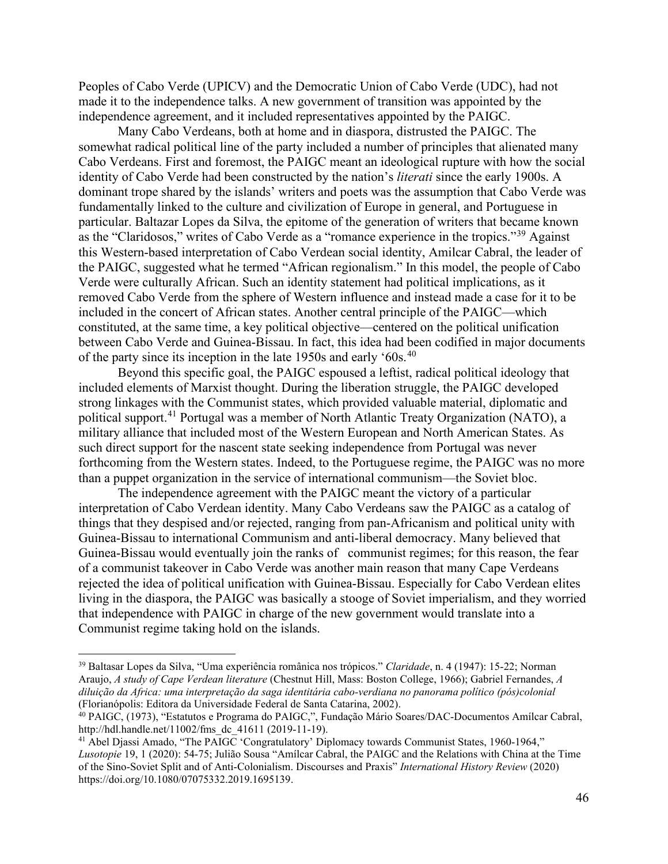Peoples of Cabo Verde (UPICV) and the Democratic Union of Cabo Verde (UDC), had not made it to the independence talks. A new government of transition was appointed by the independence agreement, and it included representatives appointed by the PAIGC.

Many Cabo Verdeans, both at home and in diaspora, distrusted the PAIGC. The somewhat radical political line of the party included a number of principles that alienated many Cabo Verdeans. First and foremost, the PAIGC meant an ideological rupture with how the social identity of Cabo Verde had been constructed by the nation's *literati* since the early 1900s. A dominant trope shared by the islands' writers and poets was the assumption that Cabo Verde was fundamentally linked to the culture and civilization of Europe in general, and Portuguese in particular. Baltazar Lopes da Silva, the epitome of the generation of writers that became known as the "Claridosos," writes of Cabo Verde as a "romance experience in the tropics."[39](#page-11-0) Against this Western-based interpretation of Cabo Verdean social identity, Amilcar Cabral, the leader of the PAIGC, suggested what he termed "African regionalism." In this model, the people of Cabo Verde were culturally African. Such an identity statement had political implications, as it removed Cabo Verde from the sphere of Western influence and instead made a case for it to be included in the concert of African states. Another central principle of the PAIGC—which constituted, at the same time, a key political objective—centered on the political unification between Cabo Verde and Guinea-Bissau. In fact, this idea had been codified in major documents of the party since its inception in the late 1950s and early '60s.<sup>40</sup>

Beyond this specific goal, the PAIGC espoused a leftist, radical political ideology that included elements of Marxist thought. During the liberation struggle, the PAIGC developed strong linkages with the Communist states, which provided valuable material, diplomatic and political support.<sup>[41](#page-11-2)</sup> Portugal was a member of North Atlantic Treaty Organization (NATO), a military alliance that included most of the Western European and North American States. As such direct support for the nascent state seeking independence from Portugal was never forthcoming from the Western states. Indeed, to the Portuguese regime, the PAIGC was no more than a puppet organization in the service of international communism—the Soviet bloc.

The independence agreement with the PAIGC meant the victory of a particular interpretation of Cabo Verdean identity. Many Cabo Verdeans saw the PAIGC as a catalog of things that they despised and/or rejected, ranging from pan-Africanism and political unity with Guinea-Bissau to international Communism and anti-liberal democracy. Many believed that Guinea-Bissau would eventually join the ranks of communist regimes; for this reason, the fear of a communist takeover in Cabo Verde was another main reason that many Cape Verdeans rejected the idea of political unification with Guinea-Bissau. Especially for Cabo Verdean elites living in the diaspora, the PAIGC was basically a stooge of Soviet imperialism, and they worried that independence with PAIGC in charge of the new government would translate into a Communist regime taking hold on the islands.

<span id="page-11-0"></span><sup>39</sup> Baltasar Lopes da Silva, "Uma experiência românica nos trópicos." *Claridade*, n. 4 (1947): 15-22; Norman Araujo, *A study of Cape Verdean literature* (Chestnut Hill, Mass: Boston College, 1966); Gabriel Fernandes, *A diluição da Africa: uma interpretação da saga identitária cabo-verdiana no panorama político (pós)colonial* (Florianópolis: Editora da Universidade Federal de Santa Catarina, 2002).

<span id="page-11-1"></span><sup>40</sup> PAIGC, (1973), "Estatutos e Programa do PAIGC,", Fundação Mário Soares/DAC-Documentos Amílcar Cabral, http://hdl.handle.net/11002/fms\_dc\_41611 (2019-11-19).

<span id="page-11-2"></span><sup>&</sup>lt;sup>41</sup> Abel Djassi Amado, "The PAIGC 'Congratulatory' Diplomacy towards Communist States, 1960-1964," *Lusotopie* 19, 1 (2020): 54-75; Julião Sousa "Amílcar Cabral, the PAIGC and the Relations with China at the Time of the Sino-Soviet Split and of Anti-Colonialism. Discourses and Praxis" *International History Review* (2020) https://doi.org/10.1080/07075332.2019.1695139.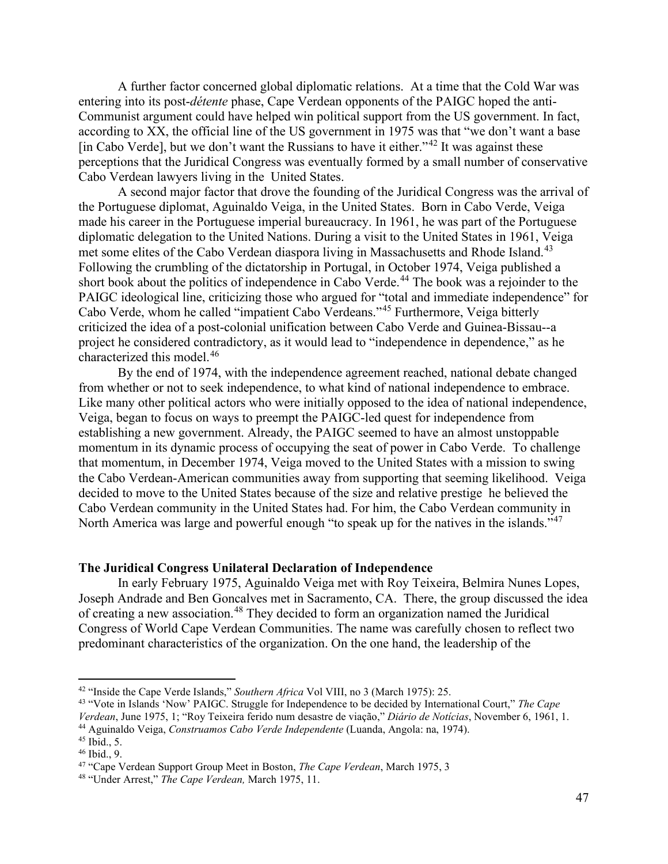A further factor concerned global diplomatic relations. At a time that the Cold War was entering into its post-*détente* phase, Cape Verdean opponents of the PAIGC hoped the anti-Communist argument could have helped win political support from the US government. In fact, according to XX, the official line of the US government in 1975 was that "we don't want a base [in Cabo Verde], but we don't want the Russians to have it either."<sup>[42](#page-12-0)</sup> It was against these perceptions that the Juridical Congress was eventually formed by a small number of conservative Cabo Verdean lawyers living in the United States.

A second major factor that drove the founding of the Juridical Congress was the arrival of the Portuguese diplomat, Aguinaldo Veiga, in the United States. Born in Cabo Verde, Veiga made his career in the Portuguese imperial bureaucracy. In 1961, he was part of the Portuguese diplomatic delegation to the United Nations. During a visit to the United States in 1961, Veiga met some elites of the Cabo Verdean diaspora living in Massachusetts and Rhode Island.<sup>[43](#page-12-1)</sup> Following the crumbling of the dictatorship in Portugal, in October 1974, Veiga published a short book about the politics of independence in Cabo Verde. [44](#page-12-2) The book was a rejoinder to the PAIGC ideological line, criticizing those who argued for "total and immediate independence" for Cabo Verde, whom he called "impatient Cabo Verdeans."[45](#page-12-3) Furthermore, Veiga bitterly criticized the idea of a post-colonial unification between Cabo Verde and Guinea-Bissau--a project he considered contradictory, as it would lead to "independence in dependence," as he characterized this model.[46](#page-12-4)

By the end of 1974, with the independence agreement reached, national debate changed from whether or not to seek independence, to what kind of national independence to embrace. Like many other political actors who were initially opposed to the idea of national independence, Veiga, began to focus on ways to preempt the PAIGC-led quest for independence from establishing a new government. Already, the PAIGC seemed to have an almost unstoppable momentum in its dynamic process of occupying the seat of power in Cabo Verde. To challenge that momentum, in December 1974, Veiga moved to the United States with a mission to swing the Cabo Verdean-American communities away from supporting that seeming likelihood. Veiga decided to move to the United States because of the size and relative prestige he believed the Cabo Verdean community in the United States had. For him, the Cabo Verdean community in North America was large and powerful enough "to speak up for the natives in the islands."<sup>[47](#page-12-5)</sup>

#### **The Juridical Congress Unilateral Declaration of Independence**

In early February 1975, Aguinaldo Veiga met with Roy Teixeira, Belmira Nunes Lopes, Joseph Andrade and Ben Goncalves met in Sacramento, CA. There, the group discussed the idea of creating a new association.<sup>[48](#page-12-6)</sup> They decided to form an organization named the Juridical Congress of World Cape Verdean Communities. The name was carefully chosen to reflect two predominant characteristics of the organization. On the one hand, the leadership of the

<span id="page-12-1"></span><span id="page-12-0"></span><sup>&</sup>lt;sup>42</sup> "Inside the Cape Verde Islands," *Southern Africa* Vol VIII, no 3 (March 1975): 25.<br><sup>43</sup> "Vote in Islands 'Now' PAIGC. Struggle for Independence to be decided by International Court," *The Cape Verdean*, June 1975,

<span id="page-12-3"></span><span id="page-12-2"></span><sup>&</sup>lt;sup>44</sup> Aguinaldo Veiga, *Construamos Cabo Verde Independente* (Luanda, Angola: na, 1974).<br><sup>45</sup> Ibid., 5.<br><sup>46</sup> Ibid., 9.<br><sup>47</sup> "Cape Verdean Support Group Meet in Boston, *The Cape Verdean*, March 1975, 3

<span id="page-12-4"></span>

<span id="page-12-6"></span><span id="page-12-5"></span><sup>48</sup> "Under Arrest," *The Cape Verdean,* March 1975, 11.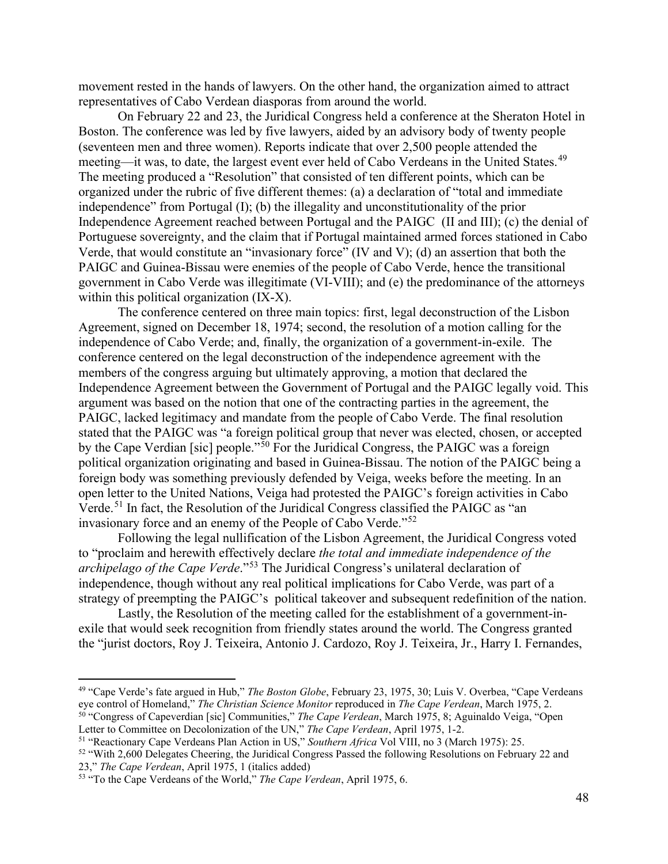movement rested in the hands of lawyers. On the other hand, the organization aimed to attract representatives of Cabo Verdean diasporas from around the world.

On February 22 and 23, the Juridical Congress held a conference at the Sheraton Hotel in Boston. The conference was led by five lawyers, aided by an advisory body of twenty people (seventeen men and three women). Reports indicate that over 2,500 people attended the meeting—it was, to date, the largest event ever held of Cabo Verdeans in the United States.<sup>[49](#page-13-0)</sup> The meeting produced a "Resolution" that consisted of ten different points, which can be organized under the rubric of five different themes: (a) a declaration of "total and immediate independence" from Portugal (I); (b) the illegality and unconstitutionality of the prior Independence Agreement reached between Portugal and the PAIGC (II and III); (c) the denial of Portuguese sovereignty, and the claim that if Portugal maintained armed forces stationed in Cabo Verde, that would constitute an "invasionary force" (IV and V); (d) an assertion that both the PAIGC and Guinea-Bissau were enemies of the people of Cabo Verde, hence the transitional government in Cabo Verde was illegitimate (VI-VIII); and (e) the predominance of the attorneys within this political organization (IX-X).

The conference centered on three main topics: first, legal deconstruction of the Lisbon Agreement, signed on December 18, 1974; second, the resolution of a motion calling for the independence of Cabo Verde; and, finally, the organization of a government-in-exile. The conference centered on the legal deconstruction of the independence agreement with the members of the congress arguing but ultimately approving, a motion that declared the Independence Agreement between the Government of Portugal and the PAIGC legally void. This argument was based on the notion that one of the contracting parties in the agreement, the PAIGC, lacked legitimacy and mandate from the people of Cabo Verde. The final resolution stated that the PAIGC was "a foreign political group that never was elected, chosen, or accepted by the Cape Verdian [sic] people."[50](#page-13-1) For the Juridical Congress, the PAIGC was a foreign political organization originating and based in Guinea-Bissau. The notion of the PAIGC being a foreign body was something previously defended by Veiga, weeks before the meeting. In an open letter to the United Nations, Veiga had protested the PAIGC's foreign activities in Cabo Verde.<sup>[51](#page-13-2)</sup> In fact, the Resolution of the Juridical Congress classified the PAIGC as "an invasionary force and an enemy of the People of Cabo Verde."[52](#page-13-3)

Following the legal nullification of the Lisbon Agreement, the Juridical Congress voted to "proclaim and herewith effectively declare *the total and immediate independence of the archipelago of the Cape Verde*."[53](#page-13-4) The Juridical Congress's unilateral declaration of independence, though without any real political implications for Cabo Verde, was part of a strategy of preempting the PAIGC's political takeover and subsequent redefinition of the nation.

Lastly, the Resolution of the meeting called for the establishment of a government-inexile that would seek recognition from friendly states around the world. The Congress granted the "jurist doctors, Roy J. Teixeira, Antonio J. Cardozo, Roy J. Teixeira, Jr., Harry I. Fernandes,

<span id="page-13-0"></span><sup>&</sup>lt;sup>49</sup> "Cape Verde's fate argued in Hub," *The Boston Globe*, February 23, 1975, 30; Luis V. Overbea, "Cape Verdeans eye control of Homeland," *The Christian Science Monitor* reproduced in *The Cape Verdean*, March 1975, 2. <sup>50</sup> "Congress of Capeverdian [sic] Communities," The Cape Verdean, March 1975, 8; Aguinaldo Veiga, "Open

<span id="page-13-2"></span>

<span id="page-13-1"></span>Letter to Committee on Decolonization of the UN," The Cape Verdean, April 1975, 1-2.<br><sup>51</sup> "Reactionary Cape Verdeans Plan Action in US," *Southern Africa* Vol VIII, no 3 (March 1975): 25.<br><sup>52</sup> "With 2,600 Delegates Cheerin

<span id="page-13-3"></span><sup>23,&</sup>quot; *The Cape Verdean*, April 1975, 1 (italics added)

<span id="page-13-4"></span><sup>53</sup> "To the Cape Verdeans of the World," *The Cape Verdean*, April 1975, 6.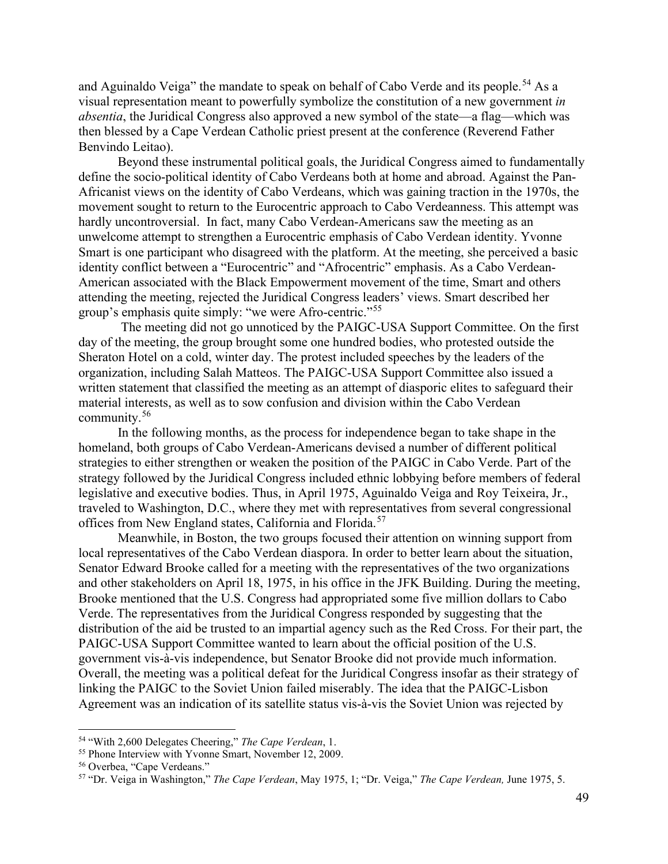and Aguinaldo Veiga" the mandate to speak on behalf of Cabo Verde and its people.<sup>[54](#page-14-0)</sup> As a visual representation meant to powerfully symbolize the constitution of a new government *in absentia*, the Juridical Congress also approved a new symbol of the state—a flag—which was then blessed by a Cape Verdean Catholic priest present at the conference (Reverend Father Benvindo Leitao).

Beyond these instrumental political goals, the Juridical Congress aimed to fundamentally define the socio-political identity of Cabo Verdeans both at home and abroad. Against the Pan-Africanist views on the identity of Cabo Verdeans, which was gaining traction in the 1970s, the movement sought to return to the Eurocentric approach to Cabo Verdeanness. This attempt was hardly uncontroversial. In fact, many Cabo Verdean-Americans saw the meeting as an unwelcome attempt to strengthen a Eurocentric emphasis of Cabo Verdean identity. Yvonne Smart is one participant who disagreed with the platform. At the meeting, she perceived a basic identity conflict between a "Eurocentric" and "Afrocentric" emphasis. As a Cabo Verdean-American associated with the Black Empowerment movement of the time, Smart and others attending the meeting, rejected the Juridical Congress leaders' views. Smart described her group's emphasis quite simply: "we were Afro-centric."[55](#page-14-1)

The meeting did not go unnoticed by the PAIGC-USA Support Committee. On the first day of the meeting, the group brought some one hundred bodies, who protested outside the Sheraton Hotel on a cold, winter day. The protest included speeches by the leaders of the organization, including Salah Matteos. The PAIGC-USA Support Committee also issued a written statement that classified the meeting as an attempt of diasporic elites to safeguard their material interests, as well as to sow confusion and division within the Cabo Verdean community.[56](#page-14-2)

In the following months, as the process for independence began to take shape in the homeland, both groups of Cabo Verdean-Americans devised a number of different political strategies to either strengthen or weaken the position of the PAIGC in Cabo Verde. Part of the strategy followed by the Juridical Congress included ethnic lobbying before members of federal legislative and executive bodies. Thus, in April 1975, Aguinaldo Veiga and Roy Teixeira, Jr., traveled to Washington, D.C., where they met with representatives from several congressional offices from New England states, California and Florida.<sup>[57](#page-14-3)</sup>

Meanwhile, in Boston, the two groups focused their attention on winning support from local representatives of the Cabo Verdean diaspora. In order to better learn about the situation, Senator Edward Brooke called for a meeting with the representatives of the two organizations and other stakeholders on April 18, 1975, in his office in the JFK Building. During the meeting, Brooke mentioned that the U.S. Congress had appropriated some five million dollars to Cabo Verde. The representatives from the Juridical Congress responded by suggesting that the distribution of the aid be trusted to an impartial agency such as the Red Cross. For their part, the PAIGC-USA Support Committee wanted to learn about the official position of the U.S. government vis-à-vis independence, but Senator Brooke did not provide much information. Overall, the meeting was a political defeat for the Juridical Congress insofar as their strategy of linking the PAIGC to the Soviet Union failed miserably. The idea that the PAIGC-Lisbon Agreement was an indication of its satellite status vis-à-vis the Soviet Union was rejected by

<span id="page-14-0"></span><sup>&</sup>lt;sup>54</sup> "With 2,600 Delegates Cheering," *The Cape Verdean*, 1.<br><sup>55</sup> Phone Interview with Yvonne Smart, November 12, 2009.

<span id="page-14-1"></span>

<span id="page-14-3"></span><span id="page-14-2"></span><sup>&</sup>lt;sup>56</sup> Overbea, "Cape Verdeans."<br><sup>57</sup> "Dr. Veiga in Washington," *The Cape Verdean*, May 1975, 1; "Dr. Veiga," *The Cape Verdean*, June 1975, 5.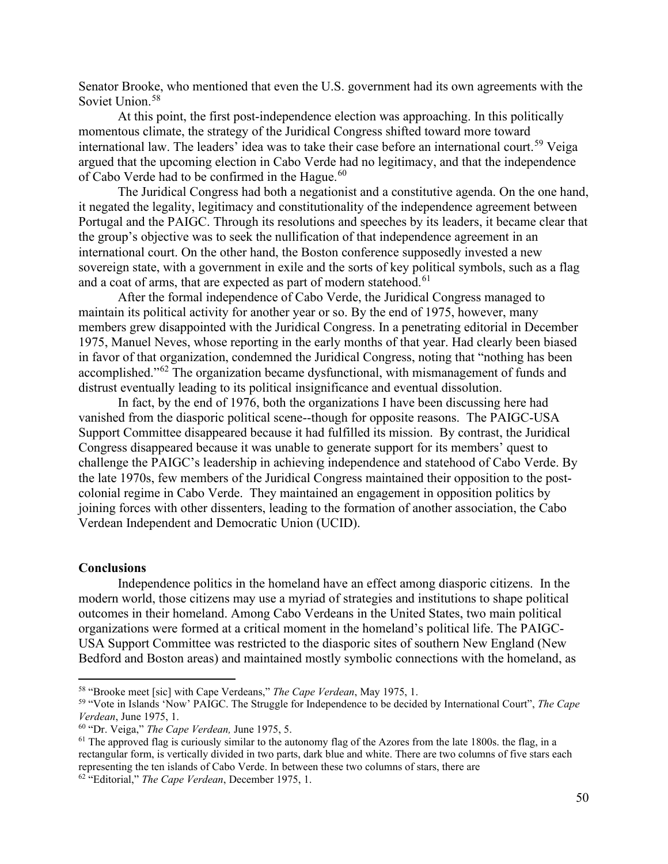Senator Brooke, who mentioned that even the U.S. government had its own agreements with the Soviet Union.<sup>[58](#page-15-0)</sup>

At this point, the first post-independence election was approaching. In this politically momentous climate, the strategy of the Juridical Congress shifted toward more toward international law. The leaders' idea was to take their case before an international court.<sup>[59](#page-15-1)</sup> Veiga argued that the upcoming election in Cabo Verde had no legitimacy, and that the independence of Cabo Verde had to be confirmed in the Hague.<sup>[60](#page-15-2)</sup>

The Juridical Congress had both a negationist and a constitutive agenda. On the one hand, it negated the legality, legitimacy and constitutionality of the independence agreement between Portugal and the PAIGC. Through its resolutions and speeches by its leaders, it became clear that the group's objective was to seek the nullification of that independence agreement in an international court. On the other hand, the Boston conference supposedly invested a new sovereign state, with a government in exile and the sorts of key political symbols, such as a flag and a coat of arms, that are expected as part of modern statehood.<sup>[61](#page-15-3)</sup>

After the formal independence of Cabo Verde, the Juridical Congress managed to maintain its political activity for another year or so. By the end of 1975, however, many members grew disappointed with the Juridical Congress. In a penetrating editorial in December 1975, Manuel Neves, whose reporting in the early months of that year. Had clearly been biased in favor of that organization, condemned the Juridical Congress, noting that "nothing has been accomplished."[62](#page-15-4) The organization became dysfunctional, with mismanagement of funds and distrust eventually leading to its political insignificance and eventual dissolution.

In fact, by the end of 1976, both the organizations I have been discussing here had vanished from the diasporic political scene--though for opposite reasons. The PAIGC-USA Support Committee disappeared because it had fulfilled its mission. By contrast, the Juridical Congress disappeared because it was unable to generate support for its members' quest to challenge the PAIGC's leadership in achieving independence and statehood of Cabo Verde. By the late 1970s, few members of the Juridical Congress maintained their opposition to the postcolonial regime in Cabo Verde. They maintained an engagement in opposition politics by joining forces with other dissenters, leading to the formation of another association, the Cabo Verdean Independent and Democratic Union (UCID).

#### **Conclusions**

Independence politics in the homeland have an effect among diasporic citizens. In the modern world, those citizens may use a myriad of strategies and institutions to shape political outcomes in their homeland. Among Cabo Verdeans in the United States, two main political organizations were formed at a critical moment in the homeland's political life. The PAIGC-USA Support Committee was restricted to the diasporic sites of southern New England (New Bedford and Boston areas) and maintained mostly symbolic connections with the homeland, as

<span id="page-15-1"></span><span id="page-15-0"></span><sup>58</sup> "Brooke meet [sic] with Cape Verdeans," *The Cape Verdean*, May 1975, 1. 59 "Vote in Islands 'Now' PAIGC. The Struggle for Independence to be decided by International Court", *The Cape Verdean*, June 1975, 1.

<span id="page-15-3"></span><span id="page-15-2"></span><sup>&</sup>lt;sup>60</sup> "Dr. Veiga," *The Cape Verdean*, June 1975, 5.<br><sup>61</sup> The approved flag is curiously similar to the autonomy flag of the Azores from the late 1800s. the flag, in a rectangular form, is vertically divided in two parts, dark blue and white. There are two columns of five stars each representing the ten islands of Cabo Verde. In between these two columns of stars, there are 62 "Editorial," *The Cape Verdean*, December 1975, 1.

<span id="page-15-4"></span>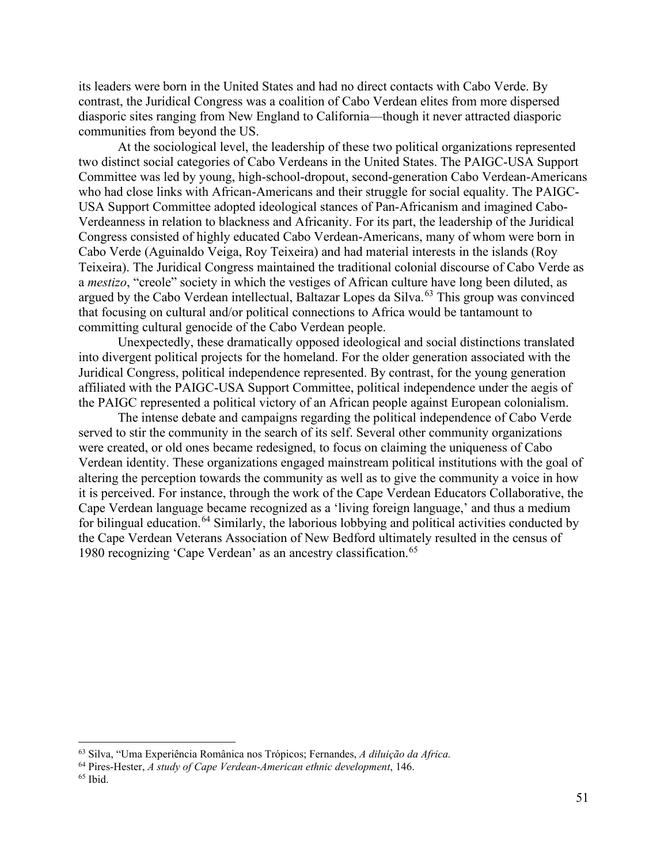its leaders were born in the United States and had no direct contacts with Cabo Verde. By contrast, the Juridical Congress was a coalition of Cabo Verdean elites from more dispersed diasporic sites ranging from New England to California—though it never attracted diasporic communities from beyond the US.

At the sociological level, the leadership of these two political organizations represented two distinct social categories of Cabo Verdeans in the United States. The PAIGC-USA Support Committee was led by young, high-school-dropout, second-generation Cabo Verdean-Americans who had close links with African-Americans and their struggle for social equality. The PAIGC-USA Support Committee adopted ideological stances of Pan-Africanism and imagined Cabo-Verdeanness in relation to blackness and Africanity. For its part, the leadership of the Juridical Congress consisted of highly educated Cabo Verdean-Americans, many of whom were born in Cabo Verde (Aguinaldo Veiga, Roy Teixeira) and had material interests in the islands (Roy Teixeira). The Juridical Congress maintained the traditional colonial discourse of Cabo Verde as a *mestizo*, "creole" society in which the vestiges of African culture have long been diluted, as argued by the Cabo Verdean intellectual, Baltazar Lopes da Silva.<sup>[63](#page-16-0)</sup> This group was convinced that focusing on cultural and/or political connections to Africa would be tantamount to committing cultural genocide of the Cabo Verdean people.

Unexpectedly, these dramatically opposed ideological and social distinctions translated into divergent political projects for the homeland. For the older generation associated with the Juridical Congress, political independence represented. By contrast, for the young generation affiliated with the PAIGC-USA Support Committee, political independence under the aegis of the PAIGC represented a political victory of an African people against European colonialism.

The intense debate and campaigns regarding the political independence of Cabo Verde served to stir the community in the search of its self. Several other community organizations were created, or old ones became redesigned, to focus on claiming the uniqueness of Cabo Verdean identity. These organizations engaged mainstream political institutions with the goal of altering the perception towards the community as well as to give the community a voice in how it is perceived. For instance, through the work of the Cape Verdean Educators Collaborative, the Cape Verdean language became recognized as a 'living foreign language,' and thus a medium for bilingual education.<sup>[64](#page-16-1)</sup> Similarly, the laborious lobbying and political activities conducted by the Cape Verdean Veterans Association of New Bedford ultimately resulted in the census of 1980 recognizing 'Cape Verdean' as an ancestry classification.<sup>[65](#page-16-2)</sup>

<span id="page-16-0"></span><sup>63</sup> Silva, "Uma Experiência Românica nos Trópicos; Fernandes, *A diluição da Africa.* 

<span id="page-16-2"></span><span id="page-16-1"></span><sup>64</sup> Pires-Hester, *A study of Cape Verdean-American ethnic development*, 146. 65 Ibid.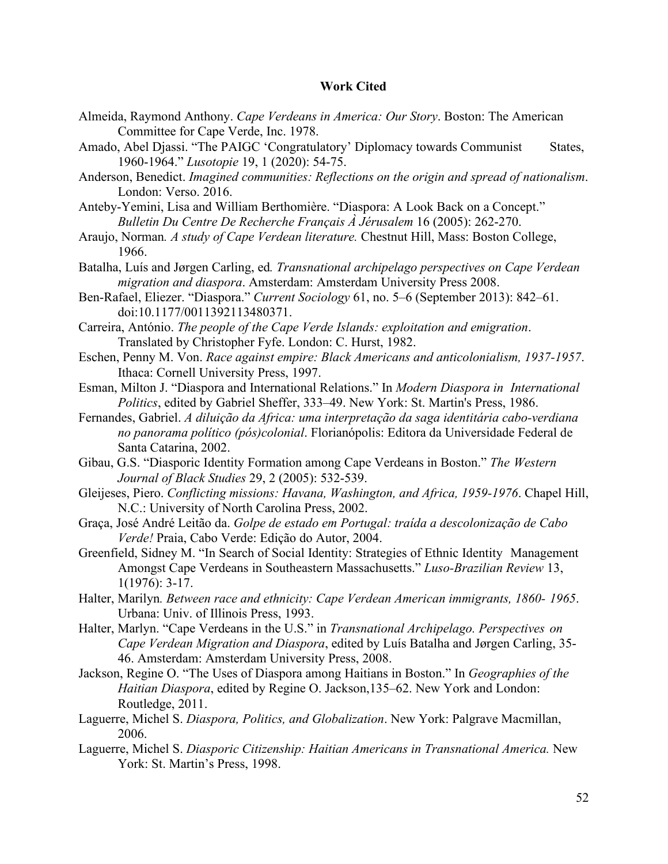#### **Work Cited**

- Almeida, Raymond Anthony. *Cape Verdeans in America: Our Story*. Boston: The American Committee for Cape Verde, Inc. 1978.
- Amado, Abel Djassi. "The PAIGC 'Congratulatory' Diplomacy towards Communist States, 1960-1964." *Lusotopie* 19, 1 (2020): 54-75.
- Anderson, Benedict. *Imagined communities: Reflections on the origin and spread of nationalism*. London: Verso. 2016.
- Anteby-Yemini, Lisa and William Berthomière. "Diaspora: A Look Back on a Concept." *Bulletin Du Centre De Recherche Français À Jérusalem* 16 (2005): 262-270.
- Araujo, Norman*. A study of Cape Verdean literature.* Chestnut Hill, Mass: Boston College, 1966.
- Batalha, Luís and Jørgen Carling, ed*. Transnational archipelago perspectives on Cape Verdean migration and diaspora*. Amsterdam: Amsterdam University Press 2008.
- Ben-Rafael, Eliezer. "Diaspora." *Current Sociology* 61, no. 5–6 (September 2013): 842–61. doi:10.1177/0011392113480371.
- Carreira, António. *The people of the Cape Verde Islands: exploitation and emigration*. Translated by Christopher Fyfe. London: C. Hurst, 1982.
- Eschen, Penny M. Von. *Race against empire: Black Americans and anticolonialism, 1937-1957*. Ithaca: Cornell University Press, 1997.
- Esman, Milton J. "Diaspora and International Relations." In *Modern Diaspora in International Politics*, edited by Gabriel Sheffer, 333–49. New York: St. Martin's Press, 1986.
- Fernandes, Gabriel. *A diluição da Africa: uma interpretação da saga identitária cabo-verdiana no panorama político (pós)colonial*. Florianópolis: Editora da Universidade Federal de Santa Catarina, 2002.
- Gibau, G.S. "Diasporic Identity Formation among Cape Verdeans in Boston." *The Western Journal of Black Studies* 29, 2 (2005): 532-539.
- Gleijeses, Piero. *Conflicting missions: Havana, Washington, and Africa, 1959-1976*. Chapel Hill, N.C.: University of North Carolina Press, 2002.
- Graça, José André Leitão da. *Golpe de estado em Portugal: traída a descolonização de Cabo Verde!* Praia, Cabo Verde: Edição do Autor, 2004.
- Greenfield, Sidney M. "In Search of Social Identity: Strategies of Ethnic Identity Management Amongst Cape Verdeans in Southeastern Massachusetts." *Luso-Brazilian Review* 13, 1(1976): 3-17.
- Halter, Marilyn*. Between race and ethnicity: Cape Verdean American immigrants, 1860- 1965*. Urbana: Univ. of Illinois Press, 1993.
- Halter, Marlyn. "Cape Verdeans in the U.S." in *Transnational Archipelago. Perspectives on Cape Verdean Migration and Diaspora*, edited by Luís Batalha and Jørgen Carling, 35- 46. Amsterdam: Amsterdam University Press, 2008.
- Jackson, Regine O. "The Uses of Diaspora among Haitians in Boston." In *Geographies of the Haitian Diaspora*, edited by Regine O. Jackson,135–62. New York and London: Routledge, 2011.
- Laguerre, Michel S. *Diaspora, Politics, and Globalization*. New York: Palgrave Macmillan, 2006.
- Laguerre, Michel S. *Diasporic Citizenship: Haitian Americans in Transnational America.* New York: St. Martin's Press, 1998.